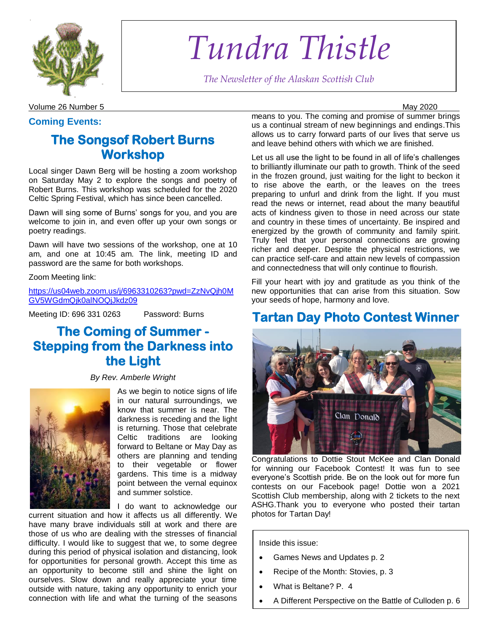

*Tundra Thistle*

*The Newsletter of the Alaskan Scottish Club*

Volume 26 Number 5 May 2020

### **Coming Events:**

# **The Songsof Robert Burns Workshop**

Local singer Dawn Berg will be hosting a zoom workshop on Saturday May 2 to explore the songs and poetry of Robert Burns. This workshop was scheduled for the 2020 Celtic Spring Festival, which has since been cancelled.

Dawn will sing some of Burns" songs for you, and you are welcome to join in, and even offer up your own songs or poetry readings.

Dawn will have two sessions of the workshop, one at 10 am, and one at 10:45 am. The link, meeting ID and password are the same for both workshops.

Zoom Meeting link:

[https://us04web.zoom.us/j/6963310263?pwd=ZzNvQjh0M](https://us04web.zoom.us/j/6963310263?pwd=ZzNvQjh0MGV5WGdmQjk0alNOQjJkdz09) [GV5WGdmQjk0alNOQjJkdz09](https://us04web.zoom.us/j/6963310263?pwd=ZzNvQjh0MGV5WGdmQjk0alNOQjJkdz09)

Meeting ID: 696 331 0263 Password: Burns

# **The Coming of Summer - Stepping from the Darkness into the Light**

*By Rev. Amberle Wright*



As we begin to notice signs of life in our natural surroundings, we know that summer is near. The darkness is receding and the light is returning. Those that celebrate Celtic traditions are looking forward to Beltane or May Day as others are planning and tending to their vegetable or flower gardens. This time is a midway point between the vernal equinox and summer solstice.

I do want to acknowledge our

current situation and how it affects us all differently. We have many brave individuals still at work and there are those of us who are dealing with the stresses of financial difficulty. I would like to suggest that we, to some degree during this period of physical isolation and distancing, look for opportunities for personal growth. Accept this time as an opportunity to become still and shine the light on ourselves. Slow down and really appreciate your time outside with nature, taking any opportunity to enrich your connection with life and what the turning of the seasons means to you. The coming and promise of summer brings us a continual stream of new beginnings and endings.This allows us to carry forward parts of our lives that serve us and leave behind others with which we are finished.

Let us all use the light to be found in all of life's challenges to brilliantly illuminate our path to growth. Think of the seed in the frozen ground, just waiting for the light to beckon it to rise above the earth, or the leaves on the trees preparing to unfurl and drink from the light. If you must read the news or internet, read about the many beautiful acts of kindness given to those in need across our state and country in these times of uncertainty. Be inspired and energized by the growth of community and family spirit. Truly feel that your personal connections are growing richer and deeper. Despite the physical restrictions, we can practice self-care and attain new levels of compassion and connectedness that will only continue to flourish.

Fill your heart with joy and gratitude as you think of the new opportunities that can arise from this situation. Sow your seeds of hope, harmony and love.

# **Tartan Day Photo Contest Winner**



Congratulations to Dottie Stout McKee and Clan Donald for winning our Facebook Contest! It was fun to see everyone"s Scottish pride. Be on the look out for more fun contests on our Facebook page! Dottie won a 2021 Scottish Club membership, along with 2 tickets to the next ASHG.Thank you to everyone who posted their tartan photos for Tartan Day!

Inside this issue:

- Games News and Updates p. 2
- Recipe of the Month: Stovies, p. 3
- What is Beltane? P. 4
- A Different Perspective on the Battle of Culloden p. 6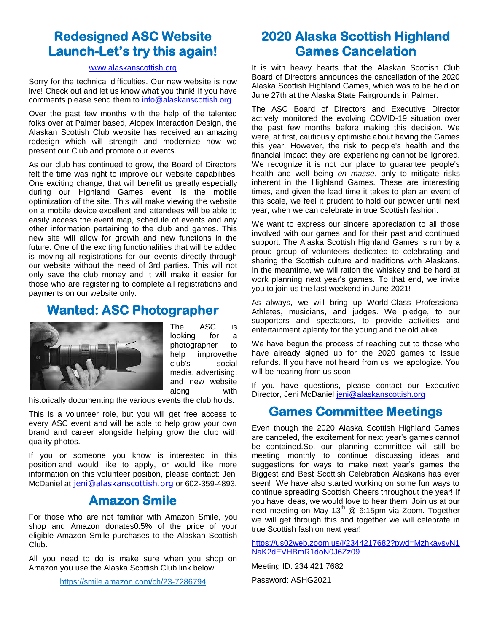# **Redesigned ASC Website Launch-Let's try this again!**

#### [www.alaskanscottish.org](http://www.alaskanscottish.org/)

Sorry for the technical difficulties. Our new website is now live! Check out and let us know what you think! If you have comments please send them to [info@alaskanscottish.org](mailto:info@alaskanscottish.org)

Over the past few months with the help of the talented folks over at Palmer based, Alopex Interaction Design, the Alaskan Scottish Club website has received an amazing redesign which will strength and modernize how we present our Club and promote our events.

As our club has continued to grow, the Board of Directors felt the time was right to improve our website capabilities. One exciting change, that will benefit us greatly especially during our Highland Games event, is the mobile optimization of the site. This will make viewing the website on a mobile device excellent and attendees will be able to easily access the event map, schedule of events and any other information pertaining to the club and games. This new site will allow for growth and new functions in the future. One of the exciting functionalities that will be added is moving all registrations for our events directly through our website without the need of 3rd parties. This will not only save the club money and it will make it easier for those who are registering to complete all registrations and payments on our website only.

## **Wanted: ASC Photographer**



The ASC is looking for a photographer to help improvethe club's social media, advertising, and new website along with

historically documenting the various events the club holds.

This is a volunteer role, but you will get free access to every ASC event and will be able to help grow your own brand and career alongside helping grow the club with quality photos.

If you or someone you know is interested in this position and would like to apply, or would like more information on this volunteer position, please contact: Jeni McDaniel at [jeni@alaskanscottish.org](mailto:jeni@alaskanscottish.org) or 602-359-4893.

## **Amazon Smile**

For those who are not familiar with Amazon Smile, you shop and Amazon donates0.5% of the price of your eligible Amazon Smile purchases to the Alaskan Scottish Club.

All you need to do is make sure when you shop on Amazon you use the Alaska Scottish Club link below:

<https://smile.amazon.com/ch/23-7286794>

# **2020 Alaska Scottish Highland Games Cancelation**

It is with heavy hearts that the Alaskan Scottish Club Board of Directors announces the cancellation of the 2020 Alaska Scottish Highland Games, which was to be held on June 27th at the Alaska State Fairgrounds in Palmer.

The ASC Board of Directors and Executive Director actively monitored the evolving COVID-19 situation over the past few months before making this decision. We were, at first, cautiously optimistic about having the Games this year. However, the risk to people's health and the financial impact they are experiencing cannot be ignored. We recognize it is not our place to guarantee people's health and well being *en masse*, only to mitigate risks inherent in the Highland Games. These are interesting times, and given the lead time it takes to plan an event of this scale, we feel it prudent to hold our powder until next year, when we can celebrate in true Scottish fashion.

We want to express our sincere appreciation to all those involved with our games and for their past and continued support. The Alaska Scottish Highland Games is run by a proud group of volunteers dedicated to celebrating and sharing the Scottish culture and traditions with Alaskans. In the meantime, we will ration the whiskey and be hard at work planning next year's games. To that end, we invite you to join us the last weekend in June 2021!

As always, we will bring up World-Class Professional Athletes, musicians, and judges. We pledge, to our supporters and spectators, to provide activities and entertainment aplenty for the young and the old alike.

We have begun the process of reaching out to those who have already signed up for the 2020 games to issue refunds. If you have not heard from us, we apologize. You will be hearing from us soon.

If you have questions, please contact our Executive Director, Jeni McDaniel [jeni@alaskanscottish.org](mailto:jeni@alaskanscottish.org)

## **Games Committee Meetings**

Even though the 2020 Alaska Scottish Highland Games are canceled, the excitement for next year"s games cannot be contained.So, our planning committee will still be meeting monthly to continue discussing ideas and suggestions for ways to make next year's games the Biggest and Best Scottish Celebration Alaskans has ever seen! We have also started working on some fun ways to continue spreading Scottish Cheers throughout the year! If you have ideas, we would love to hear them! Join us at our next meeting on May  $13^{th}$  @ 6:15pm via Zoom. Together we will get through this and together we will celebrate in true Scottish fashion next year!

[https://us02web.zoom.us/j/2344217682?pwd=MzhkaysvN1](https://us02web.zoom.us/j/2344217682?pwd=MzhkaysvN1NaK2dEVHBmR1doN0J6Zz09) [NaK2dEVHBmR1doN0J6Zz09](https://us02web.zoom.us/j/2344217682?pwd=MzhkaysvN1NaK2dEVHBmR1doN0J6Zz09)

Meeting ID: 234 421 7682 Password: ASHG2021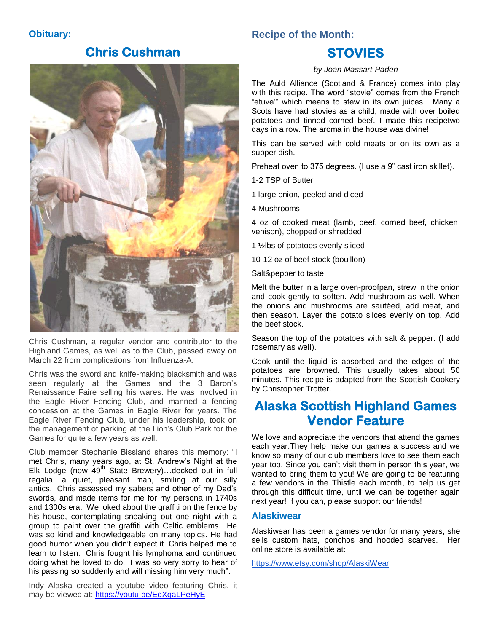### **Obituary:**

## **Chris Cushman**



Chris Cushman, a regular vendor and contributor to the Highland Games, as well as to the Club, passed away on March 22 from complications from Influenza-A.

Chris was the sword and knife-making blacksmith and was seen regularly at the Games and the 3 Baron's Renaissance Faire selling his wares. He was involved in the Eagle River Fencing Club, and manned a fencing concession at the Games in Eagle River for years. The Eagle River Fencing Club, under his leadership, took on the management of parking at the Lion"s Club Park for the Games for quite a few years as well.

Club member Stephanie Bissland shares this memory: "I met Chris, many years ago, at St. Andrew"s Night at the Elk Lodge (now  $49<sup>th</sup>$  State Brewery)... decked out in full regalia, a quiet, pleasant man, smiling at our silly antics. Chris assessed my sabers and other of my Dad"s swords, and made items for me for my persona in 1740s and 1300s era. We joked about the graffiti on the fence by his house, contemplating sneaking out one night with a group to paint over the graffiti with Celtic emblems. He was so kind and knowledgeable on many topics. He had good humor when you didn"t expect it. Chris helped me to learn to listen. Chris fought his lymphoma and continued doing what he loved to do. I was so very sorry to hear of his passing so suddenly and will missing him very much".

Indy Alaska created a youtube video featuring Chris, it may be viewed at:<https://youtu.be/EqXqaLPeHyE>

### **Recipe of the Month:**

# **STOVIES**

#### *by Joan Massart-Paden*

The Auld Alliance (Scotland & France) comes into play with this recipe. The word "stovie" comes from the French "etuve"" which means to stew in its own juices. Many a Scots have had stovies as a child, made with over boiled potatoes and tinned corned beef. I made this recipetwo days in a row. The aroma in the house was divine!

This can be served with cold meats or on its own as a supper dish.

Preheat oven to 375 degrees. (I use a 9" cast iron skillet).

1-2 TSP of Butter

1 large onion, peeled and diced

4 Mushrooms

4 oz of cooked meat (lamb, beef, corned beef, chicken, venison), chopped or shredded

1 ½lbs of potatoes evenly sliced

10-12 oz of beef stock (bouillon)

Salt&pepper to taste

Melt the butter in a large oven-proofpan, strew in the onion and cook gently to soften. Add mushroom as well. When the onions and mushrooms are sautéed, add meat, and then season. Layer the potato slices evenly on top. Add the beef stock.

Season the top of the potatoes with salt & pepper. (I add rosemary as well).

Cook until the liquid is absorbed and the edges of the potatoes are browned. This usually takes about 50 minutes. This recipe is adapted from the Scottish Cookery by Christopher Trotter.

# **Alaska Scottish Highland Games Vendor Feature**

We love and appreciate the vendors that attend the games each year.They help make our games a success and we know so many of our club members love to see them each year too. Since you can"t visit them in person this year, we wanted to bring them to you! We are going to be featuring a few vendors in the Thistle each month, to help us get through this difficult time, until we can be together again next year! If you can, please support our friends!

### **Alaskiwear**

Alaskiwear has been a games vendor for many years; she sells custom hats, ponchos and hooded scarves. Her online store is available at:

<https://www.etsy.com/shop/AlaskiWear>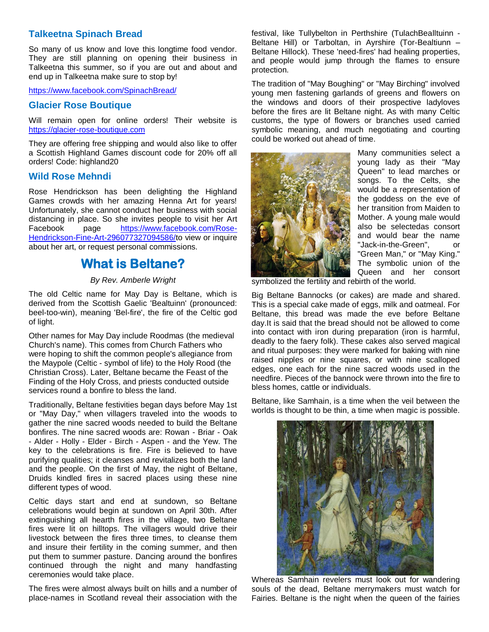### **Talkeetna Spinach Bread**

So many of us know and love this longtime food vendor. They are still planning on opening their business in Talkeetna this summer, so if you are out and about and end up in Talkeetna make sure to stop by!

<https://www.facebook.com/SpinachBread/>

### **Glacier Rose Boutique**

Will remain open for online orders! Their website is [https://glacier-rose-boutique.com](https://glacier-rose-boutique.com/)

They are offering free shipping and would also like to offer a Scottish Highland Games discount code for 20% off all orders! Code: highland20

### **Wild Rose Mehndi**

Rose Hendrickson has been delighting the Highland Games crowds with her amazing Henna Art for years! Unfortunately, she cannot conduct her business with social distancing in place. So she invites people to visit her Art Facebook page [https://www.facebook.com/Rose-](https://www.facebook.com/Rose-Hendrickson-Fine-Art-296077327094586/)[Hendrickson-Fine-Art-296077327094586/t](https://www.facebook.com/Rose-Hendrickson-Fine-Art-296077327094586/)o view or inquire about her art, or request personal commissions.

## **What is Beltane?**

#### *By Rev. Amberle Wright*

The old Celtic name for May Day is Beltane, which is derived from the Scottish Gaelic 'Bealtuinn' (pronounced: beel-too-win), meaning 'Bel-fire', the fire of the Celtic god of light.

Other names for May Day include Roodmas (the medieval Church's name). This comes from Church Fathers who were hoping to shift the common people's allegiance from the Maypole (Celtic - symbol of life) to the Holy Rood (the Christian Cross). Later, Beltane became the Feast of the Finding of the Holy Cross, and priests conducted outside services round a bonfire to bless the land.

Traditionally, Beltane festivities began days before May 1st or "May Day," when villagers traveled into the woods to gather the nine sacred woods needed to build the Beltane bonfires. The nine sacred woods are: Rowan - Briar - Oak - Alder - Holly - Elder - Birch - Aspen - and the Yew. The key to the celebrations is fire. Fire is believed to have purifying qualities; it cleanses and revitalizes both the land and the people. On the first of May, the night of Beltane, Druids kindled fires in sacred places using these nine different types of wood.

Celtic days start and end at sundown, so Beltane celebrations would begin at sundown on April 30th. After extinguishing all hearth fires in the village, two Beltane fires were lit on hilltops. The villagers would drive their livestock between the fires three times, to cleanse them and insure their fertility in the coming summer, and then put them to summer pasture. Dancing around the bonfires continued through the night and many handfasting ceremonies would take place.

The fires were almost always built on hills and a number of place-names in Scotland reveal their association with the

festival, like Tullybelton in Perthshire (TulachBealltuinn - Beltane Hill) or Tarboltan, in Ayrshire (Tor-Bealtiunn – Beltane Hillock). These 'need-fires' had healing properties, and people would jump through the flames to ensure protection.

The tradition of "May Boughing" or "May Birching" involved young men fastening garlands of greens and flowers on the windows and doors of their prospective ladyloves before the fires are lit Beltane night. As with many Celtic customs, the type of flowers or branches used carried symbolic meaning, and much negotiating and courting could be worked out ahead of time.



Many communities select a young lady as their "May Queen" to lead marches or songs. To the Celts, she would be a representation of the goddess on the eve of her transition from Maiden to Mother. A young male would also be selectedas consort and would bear the name "Jack-in-the-Green", or "Green Man," or "May King." The symbolic union of the Queen and her consort

symbolized the fertility and rebirth of the world.

Big Beltane Bannocks (or cakes) are made and shared. This is a special cake made of eggs, milk and oatmeal. For Beltane, this bread was made the eve before Beltane day.It is said that the bread should not be allowed to come into contact with iron during preparation (iron is harmful, deadly to the faery folk). These cakes also served magical and ritual purposes: they were marked for baking with nine raised nipples or nine squares, or with nine scalloped edges, one each for the nine sacred woods used in the needfire. Pieces of the bannock were thrown into the fire to bless homes, cattle or individuals.

Beltane, like Samhain, is a time when the veil between the worlds is thought to be thin, a time when magic is possible.



Whereas Samhain revelers must look out for wandering souls of the dead, Beltane merrymakers must watch for Fairies. Beltane is the night when the queen of the fairies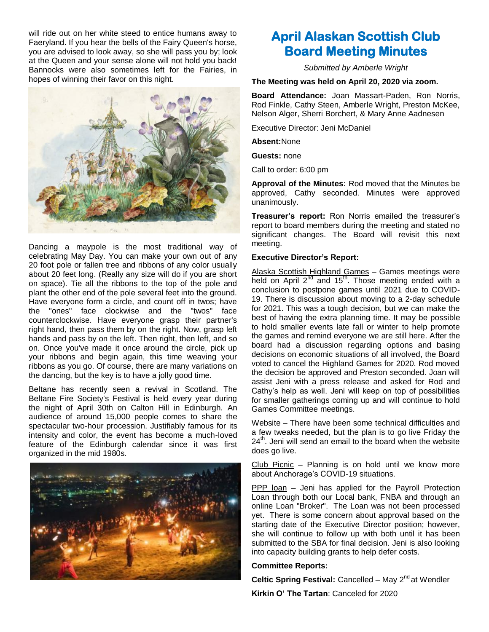will ride out on her white steed to entice humans away to Faeryland. If you hear the bells of the Fairy Queen's horse, you are advised to look away, so she will pass you by; look at the Queen and your sense alone will not hold you back! Bannocks were also sometimes left for the Fairies, in hopes of winning their favor on this night.



Dancing a maypole is the most traditional way of celebrating May Day. You can make your own out of any 20 foot pole or fallen tree and ribbons of any color usually about 20 feet long. (Really any size will do if you are short on space). Tie all the ribbons to the top of the pole and plant the other end of the pole several feet into the ground. Have everyone form a circle, and count off in twos; have the "ones" face clockwise and the "twos" face counterclockwise. Have everyone grasp their partner's right hand, then pass them by on the right. Now, grasp left hands and pass by on the left. Then right, then left, and so on. Once you've made it once around the circle, pick up your ribbons and begin again, this time weaving your ribbons as you go. Of course, there are many variations on the dancing, but the key is to have a jolly good time.

Beltane has recently seen a revival in Scotland. The Beltane Fire Society's Festival is held every year during the night of April 30th on Calton Hill in Edinburgh. An audience of around 15,000 people comes to share the spectacular two-hour procession. Justifiably famous for its intensity and color, the event has become a much-loved feature of the Edinburgh calendar since it was first organized in the mid 1980s.



# **April Alaskan Scottish Club Board Meeting Minutes**

*Submitted by Amberle Wright*

**The Meeting was held on April 20, 2020 via zoom.**

**Board Attendance:** Joan Massart-Paden, Ron Norris, Rod Finkle, Cathy Steen, Amberle Wright, Preston McKee, Nelson Alger, Sherri Borchert, & Mary Anne Aadnesen

Executive Director: Jeni McDaniel

**Absent:**None

**Guests:** none

Call to order: 6:00 pm

**Approval of the Minutes:** Rod moved that the Minutes be approved, Cathy seconded. Minutes were approved unanimously.

**Treasurer's report:** Ron Norris emailed the treasurer"s report to board members during the meeting and stated no significant changes. The Board will revisit this next meeting.

#### **Executive Director's Report:**

Alaska Scottish Highland Games – Games meetings were held on April  $2^{nd}$  and 15<sup>th</sup>. Those meeting ended with a conclusion to postpone games until 2021 due to COVID-19. There is discussion about moving to a 2-day schedule for 2021. This was a tough decision, but we can make the best of having the extra planning time. It may be possible to hold smaller events late fall or winter to help promote the games and remind everyone we are still here. After the board had a discussion regarding options and basing decisions on economic situations of all involved, the Board voted to cancel the Highland Games for 2020. Rod moved the decision be approved and Preston seconded. Joan will assist Jeni with a press release and asked for Rod and Cathy"s help as well. Jeni will keep on top of possibilities for smaller gatherings coming up and will continue to hold Games Committee meetings.

Website – There have been some technical difficulties and a few tweaks needed, but the plan is to go live Friday the  $24<sup>th</sup>$ . Jeni will send an email to the board when the website does go live.

Club Picnic – Planning is on hold until we know more about Anchorage's COVID-19 situations.

PPP loan – Jeni has applied for the Payroll Protection Loan through both our Local bank, FNBA and through an online Loan "Broker". The Loan was not been processed yet. There is some concern about approval based on the starting date of the Executive Director position; however, she will continue to follow up with both until it has been submitted to the SBA for final decision. Jeni is also looking into capacity building grants to help defer costs.

#### **Committee Reports:**

**Celtic Spring Festival: Cancelled – May 2<sup>nd</sup> at Wendler Kirkin O' The Tartan**: Canceled for 2020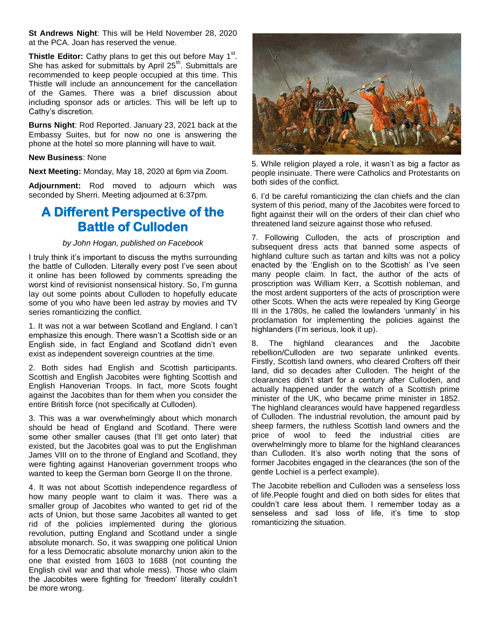**St Andrews Night**: This will be Held November 28, 2020 at the PCA. Joan has reserved the venue.

Thistle Editor: Cathy plans to get this out before May 1<sup>st</sup>. She has asked for submittals by April  $25<sup>th</sup>$ . Submittals are recommended to keep people occupied at this time. This Thistle will include an announcement for the cancellation of the Games. There was a brief discussion about including sponsor ads or articles. This will be left up to Cathy"s discretion.

**Burns Night**: Rod Reported. January 23, 2021 back at the Embassy Suites, but for now no one is answering the phone at the hotel so more planning will have to wait.

#### **New Business**: None

**Next Meeting:** Monday, May 18, 2020 at 6pm via Zoom.

**Adjournment:** Rod moved to adjourn which was seconded by Sherri. Meeting adjourned at 6:37pm.

# **A Different Perspective of the Battle of Culloden**

#### *by John Hogan, published on Facebook*

I truly think it"s important to discuss the myths surrounding the battle of Culloden. Literally every post I've seen about it online has been followed by comments spreading the worst kind of revisionist nonsensical history. So, I'm gunna lay out some points about Culloden to hopefully educate some of you who have been led astray by movies and TV series romanticizing the conflict.

1. It was not a war between Scotland and England. I can"t emphasize this enough. There wasn"t a Scottish side or an English side, in fact England and Scotland didn"t even exist as independent sovereign countries at the time.

2. Both sides had English and Scottish participants. Scottish and English Jacobites were fighting Scottish and English Hanoverian Troops. In fact, more Scots fought against the Jacobites than for them when you consider the entire British force (not specifically at Culloden).

3. This was a war overwhelmingly about which monarch should be head of England and Scotland. There were some other smaller causes (that I'll get onto later) that existed, but the Jacobites goal was to put the Englishman James VIII on to the throne of England and Scotland, they were fighting against Hanoverian government troops who wanted to keep the German born George II on the throne.

4. It was not about Scottish independence regardless of how many people want to claim it was. There was a smaller group of Jacobites who wanted to get rid of the acts of Union, but those same Jacobites all wanted to get rid of the policies implemented during the glorious revolution, putting England and Scotland under a single absolute monarch. So, it was swapping one political Union for a less Democratic absolute monarchy union akin to the one that existed from 1603 to 1688 (not counting the English civil war and that whole mess). Those who claim the Jacobites were fighting for "freedom" literally couldn"t be more wrong.



5. While religion played a role, it wasn"t as big a factor as people insinuate. There were Catholics and Protestants on both sides of the conflict.

6. I"d be careful romanticizing the clan chiefs and the clan system of this period, many of the Jacobites were forced to fight against their will on the orders of their clan chief who threatened land seizure against those who refused.

7. Following Culloden, the acts of proscription and subsequent dress acts that banned some aspects of highland culture such as tartan and kilts was not a policy enacted by the 'English on to the Scottish' as I've seen many people claim. In fact, the author of the acts of proscription was William Kerr, a Scottish nobleman, and the most ardent supporters of the acts of proscription were other Scots. When the acts were repealed by King George III in the 1780s, he called the lowlanders "unmanly" in his proclamation for implementing the policies against the highlanders (I"m serious, look it up).

8. The highland clearances and the Jacobite rebellion/Culloden are two separate unlinked events. Firstly, Scottish land owners, who cleared Crofters off their land, did so decades after Culloden. The height of the clearances didn"t start for a century after Culloden, and actually happened under the watch of a Scottish prime minister of the UK, who became prime minister in 1852. The highland clearances would have happened regardless of Culloden. The industrial revolution, the amount paid by sheep farmers, the ruthless Scottish land owners and the price of wool to feed the industrial cities are overwhelmingly more to blame for the highland clearances than Culloden. It's also worth noting that the sons of former Jacobites engaged in the clearances (the son of the gentle Lochiel is a perfect example).

The Jacobite rebellion and Culloden was a senseless loss of life.People fought and died on both sides for elites that couldn"t care less about them. I remember today as a senseless and sad loss of life, it's time to stop romanticizing the situation.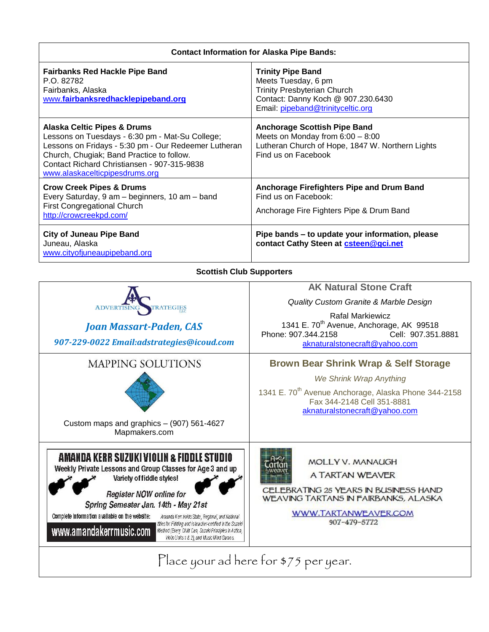| <b>Contact Information for Alaska Pipe Bands:</b>                                                                                                                                                                                                                                                                                                                                                                                                                                                           |                                                                                                                                                                                                                                          |  |  |
|-------------------------------------------------------------------------------------------------------------------------------------------------------------------------------------------------------------------------------------------------------------------------------------------------------------------------------------------------------------------------------------------------------------------------------------------------------------------------------------------------------------|------------------------------------------------------------------------------------------------------------------------------------------------------------------------------------------------------------------------------------------|--|--|
| <b>Fairbanks Red Hackle Pipe Band</b><br>P.O. 82782<br>Fairbanks, Alaska<br>www.fairbanksredhacklepipeband.org                                                                                                                                                                                                                                                                                                                                                                                              | <b>Trinity Pipe Band</b><br>Meets Tuesday, 6 pm<br>Trinity Presbyterian Church<br>Contact: Danny Koch @ 907.230.6430<br>Email: pipeband@trinityceltic.org                                                                                |  |  |
| <b>Alaska Celtic Pipes &amp; Drums</b><br>Lessons on Tuesdays - 6:30 pm - Mat-Su College;<br>Lessons on Fridays - 5:30 pm - Our Redeemer Lutheran<br>Church, Chugiak; Band Practice to follow.<br>Contact Richard Christiansen - 907-315-9838<br>www.alaskacelticpipesdrums.org                                                                                                                                                                                                                             | <b>Anchorage Scottish Pipe Band</b><br>Meets on Monday from $6:00 - 8:00$<br>Lutheran Church of Hope, 1847 W. Northern Lights<br>Find us on Facebook                                                                                     |  |  |
| <b>Crow Creek Pipes &amp; Drums</b><br>Every Saturday, 9 am - beginners, 10 am - band<br><b>First Congregational Church</b><br>http://crowcreekpd.com/                                                                                                                                                                                                                                                                                                                                                      | Anchorage Firefighters Pipe and Drum Band<br>Find us on Facebook:<br>Anchorage Fire Fighters Pipe & Drum Band                                                                                                                            |  |  |
| <b>City of Juneau Pipe Band</b><br>Juneau, Alaska<br>www.cityofjuneaupipeband.org                                                                                                                                                                                                                                                                                                                                                                                                                           | Pipe bands - to update your information, please<br>contact Cathy Steen at csteen@gci.net                                                                                                                                                 |  |  |
| <b>Scottish Club Supporters</b>                                                                                                                                                                                                                                                                                                                                                                                                                                                                             |                                                                                                                                                                                                                                          |  |  |
| <b>ATEGIES</b><br><b>ADVERTIS</b><br><b>Joan Massart-Paden, CAS</b><br>907-229-0022 Email:adstrategies@icoud.com                                                                                                                                                                                                                                                                                                                                                                                            | <b>AK Natural Stone Craft</b><br>Quality Custom Granite & Marble Design<br><b>Rafal Markiewicz</b><br>1341 E. 70 <sup>th</sup> Avenue, Anchorage, AK 99518<br>Phone: 907.344.2158<br>Cell: 907.351.8881<br>aknaturalstonecraft@yahoo.com |  |  |
| <b>MAPPING SOLUTIONS</b><br>Custom maps and graphics - (907) 561-4627<br>Mapmakers.com                                                                                                                                                                                                                                                                                                                                                                                                                      | <b>Brown Bear Shrink Wrap &amp; Self Storage</b><br>We Shrink Wrap Anything<br>1341 E. 70 <sup>th</sup> Avenue Anchorage, Alaska Phone 344-2158<br>Fax 344-2148 Cell 351-8881<br>aknaturalstonecraft@yahoo.com                           |  |  |
| AMANDA KERR SUZUKI VIOLIN & FIDDLE STUDIO<br>Weekly Private Lessons and Group Classes for Age 3 and up<br>Variety of fiddle styles!<br>Register NOW online for<br>Spring Semester Jan. 14th - May 21st<br>Complete information available on the website:<br>Amanda Kerr holds State, Regional, and National<br>titles for Fiddling and is teacher-certified in the Suzuki<br>www.amandakerrmusic.com<br>Method (Every Child Can, Suzuki Principles in Action,<br>Violin Units 1 & 2), and Music Mind Games. | MOLLY V. MANAUGH<br>A TARTAN WEAVER<br>CELEBRATING 25 YEARS IN BUSINESS HAND<br>WEAVING TARTANS IN FAIRBANKS, ALASKA<br>WWW.TARTANWEAVER.COM<br>907-479-5772<br>Place your ad here for \$75 per year.                                    |  |  |